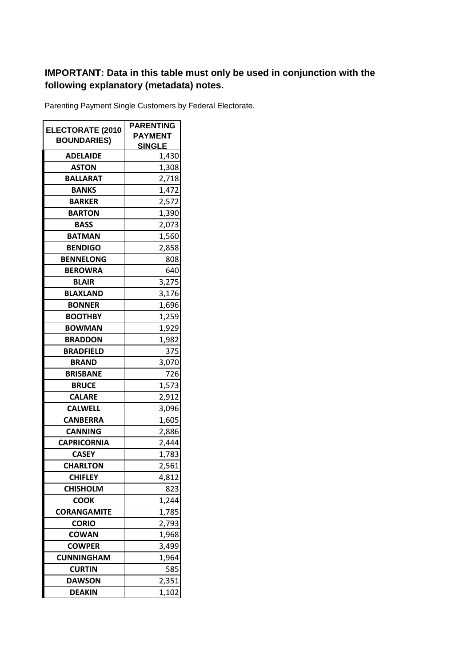## **IMPORTANT: Data in this table must only be used in conjunction with the following explanatory (metadata) notes.**

Parenting Payment Single Customers by Federal Electorate.

|                                               | <b>PARENTING</b> |
|-----------------------------------------------|------------------|
| <b>ELECTORATE (2010</b><br><b>BOUNDARIES)</b> | <b>PAYMENT</b>   |
|                                               | <u>SINGLE</u>    |
| <b>ADELAIDE</b>                               | 1,430            |
| <b>ASTON</b>                                  | 1,308            |
| <b>BALLARAT</b>                               | 2,718            |
| <b>BANKS</b>                                  | 1,472            |
| <b>BARKER</b>                                 | 2,572            |
| <b>BARTON</b>                                 | 1,390            |
| <b>BASS</b>                                   | 2,073            |
| <b>BATMAN</b>                                 | 1,560            |
| <b>BENDIGO</b>                                | 2,858            |
| <b>BENNELONG</b>                              | 808              |
| <b>BEROWRA</b>                                | 640              |
| <b>BLAIR</b>                                  | 3,275            |
| <b>BLAXLAND</b>                               | 3,176            |
| <b>BONNER</b>                                 | 1,696            |
| <b>BOOTHBY</b>                                | 1,259            |
| <b>BOWMAN</b>                                 | 1,929            |
| <b>BRADDON</b>                                | 1,982            |
| <b>BRADFIELD</b>                              | 375              |
| <b>BRAND</b>                                  | 3,070            |
| <b>BRISBANE</b>                               | 726              |
| <b>BRUCE</b>                                  | 1,573            |
| <b>CALARE</b>                                 | 2,912            |
| <b>CALWELL</b>                                | 3,096            |
| <b>CANBERRA</b>                               | 1,605            |
| <b>CANNING</b>                                | 2,886            |
| <b>CAPRICORNIA</b>                            | 2,444            |
| <b>CASEY</b>                                  | 1,783            |
| <b>CHARLTON</b>                               | 2,561            |
| <b>CHIFLEY</b>                                | 4,812            |
| <b>CHISHOLM</b>                               | 823              |
| <b>COOK</b>                                   | 1,244            |
| <b>CORANGAMITE</b>                            | 1,785            |
| <b>CORIO</b>                                  | 2,793            |
| <b>COWAN</b>                                  | 1,968            |
| <b>COWPER</b>                                 | 3,499            |
| <b>CUNNINGHAM</b>                             | 1,964            |
| <b>CURTIN</b>                                 | 585              |
| <b>DAWSON</b>                                 | 2,351            |
| <b>DEAKIN</b>                                 | 1,102            |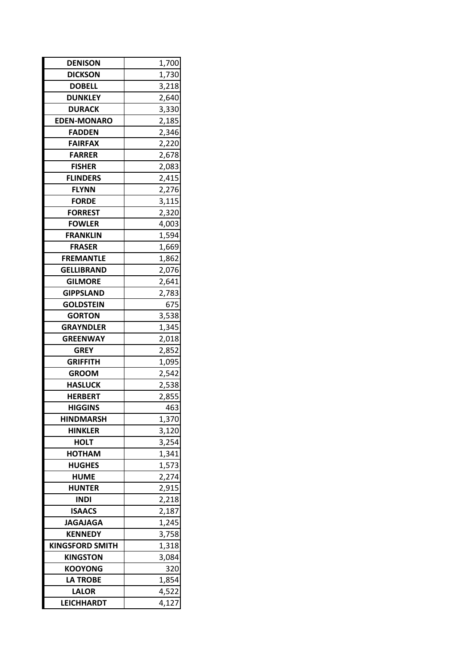| <b>DICKSON</b><br>1,730<br><b>DOBELL</b><br>3,218<br><b>DUNKLEY</b><br>2,640<br><b>DURACK</b><br>3,330<br>2,185<br><b>EDEN-MONARO</b><br>2,346<br><b>FADDEN</b><br><b>FAIRFAX</b><br>2,220<br><b>FARRER</b><br>2,678<br><b>FISHER</b><br>2,083<br><b>FLINDERS</b><br>2,415<br><b>FLYNN</b><br>2,276<br><b>FORDE</b><br>3,115<br><b>FORREST</b><br>2,320<br><b>FOWLER</b><br>4,003<br>1,594<br><b>FRANKLIN</b><br><b>FRASER</b><br>1,669<br><b>FREMANTLE</b><br>1,862<br><b>GELLIBRAND</b><br>2,076<br><b>GILMORE</b><br>2,641<br>2,783<br><b>GIPPSLAND</b><br>675<br><b>GOLDSTEIN</b><br><b>GORTON</b><br>3,538 |
|-----------------------------------------------------------------------------------------------------------------------------------------------------------------------------------------------------------------------------------------------------------------------------------------------------------------------------------------------------------------------------------------------------------------------------------------------------------------------------------------------------------------------------------------------------------------------------------------------------------------|
|                                                                                                                                                                                                                                                                                                                                                                                                                                                                                                                                                                                                                 |
|                                                                                                                                                                                                                                                                                                                                                                                                                                                                                                                                                                                                                 |
|                                                                                                                                                                                                                                                                                                                                                                                                                                                                                                                                                                                                                 |
|                                                                                                                                                                                                                                                                                                                                                                                                                                                                                                                                                                                                                 |
|                                                                                                                                                                                                                                                                                                                                                                                                                                                                                                                                                                                                                 |
|                                                                                                                                                                                                                                                                                                                                                                                                                                                                                                                                                                                                                 |
|                                                                                                                                                                                                                                                                                                                                                                                                                                                                                                                                                                                                                 |
|                                                                                                                                                                                                                                                                                                                                                                                                                                                                                                                                                                                                                 |
|                                                                                                                                                                                                                                                                                                                                                                                                                                                                                                                                                                                                                 |
|                                                                                                                                                                                                                                                                                                                                                                                                                                                                                                                                                                                                                 |
|                                                                                                                                                                                                                                                                                                                                                                                                                                                                                                                                                                                                                 |
|                                                                                                                                                                                                                                                                                                                                                                                                                                                                                                                                                                                                                 |
|                                                                                                                                                                                                                                                                                                                                                                                                                                                                                                                                                                                                                 |
|                                                                                                                                                                                                                                                                                                                                                                                                                                                                                                                                                                                                                 |
|                                                                                                                                                                                                                                                                                                                                                                                                                                                                                                                                                                                                                 |
|                                                                                                                                                                                                                                                                                                                                                                                                                                                                                                                                                                                                                 |
|                                                                                                                                                                                                                                                                                                                                                                                                                                                                                                                                                                                                                 |
|                                                                                                                                                                                                                                                                                                                                                                                                                                                                                                                                                                                                                 |
|                                                                                                                                                                                                                                                                                                                                                                                                                                                                                                                                                                                                                 |
|                                                                                                                                                                                                                                                                                                                                                                                                                                                                                                                                                                                                                 |
|                                                                                                                                                                                                                                                                                                                                                                                                                                                                                                                                                                                                                 |
|                                                                                                                                                                                                                                                                                                                                                                                                                                                                                                                                                                                                                 |
| 1,345<br><b>GRAYNDLER</b>                                                                                                                                                                                                                                                                                                                                                                                                                                                                                                                                                                                       |
| <b>GREENWAY</b><br>2,018                                                                                                                                                                                                                                                                                                                                                                                                                                                                                                                                                                                        |
| <b>GREY</b><br>2,852                                                                                                                                                                                                                                                                                                                                                                                                                                                                                                                                                                                            |
| <b>GRIFFITH</b><br>1,095                                                                                                                                                                                                                                                                                                                                                                                                                                                                                                                                                                                        |
| 2,542<br><b>GROOM</b>                                                                                                                                                                                                                                                                                                                                                                                                                                                                                                                                                                                           |
| <b>HASLUCK</b><br>2,538                                                                                                                                                                                                                                                                                                                                                                                                                                                                                                                                                                                         |
| <b>HERBERT</b><br>2,855                                                                                                                                                                                                                                                                                                                                                                                                                                                                                                                                                                                         |
| 463<br><b>HIGGINS</b>                                                                                                                                                                                                                                                                                                                                                                                                                                                                                                                                                                                           |
| <b>HINDMARSH</b><br>1,370                                                                                                                                                                                                                                                                                                                                                                                                                                                                                                                                                                                       |
| 3,120<br><b>HINKLER</b>                                                                                                                                                                                                                                                                                                                                                                                                                                                                                                                                                                                         |
| <b>HOLT</b><br>3,254                                                                                                                                                                                                                                                                                                                                                                                                                                                                                                                                                                                            |
| <b>HOTHAM</b><br>1,341                                                                                                                                                                                                                                                                                                                                                                                                                                                                                                                                                                                          |
| <b>HUGHES</b><br>1,573                                                                                                                                                                                                                                                                                                                                                                                                                                                                                                                                                                                          |
| <b>HUME</b><br>2,274                                                                                                                                                                                                                                                                                                                                                                                                                                                                                                                                                                                            |
| <b>HUNTER</b><br>2,915                                                                                                                                                                                                                                                                                                                                                                                                                                                                                                                                                                                          |
| <b>INDI</b><br>2,218                                                                                                                                                                                                                                                                                                                                                                                                                                                                                                                                                                                            |
| <b>ISAACS</b><br>2,187                                                                                                                                                                                                                                                                                                                                                                                                                                                                                                                                                                                          |
| <b>JAGAJAGA</b><br>1,245                                                                                                                                                                                                                                                                                                                                                                                                                                                                                                                                                                                        |
| <b>KENNEDY</b><br>3,758                                                                                                                                                                                                                                                                                                                                                                                                                                                                                                                                                                                         |
| <b>KINGSFORD SMITH</b><br>1,318                                                                                                                                                                                                                                                                                                                                                                                                                                                                                                                                                                                 |
| <b>KINGSTON</b><br>3,084                                                                                                                                                                                                                                                                                                                                                                                                                                                                                                                                                                                        |
| <b>KOOYONG</b><br>320                                                                                                                                                                                                                                                                                                                                                                                                                                                                                                                                                                                           |
| <b>LA TROBE</b><br>1,854                                                                                                                                                                                                                                                                                                                                                                                                                                                                                                                                                                                        |
| 4,522<br><b>LALOR</b>                                                                                                                                                                                                                                                                                                                                                                                                                                                                                                                                                                                           |
| <b>LEICHHARDT</b><br>4,127                                                                                                                                                                                                                                                                                                                                                                                                                                                                                                                                                                                      |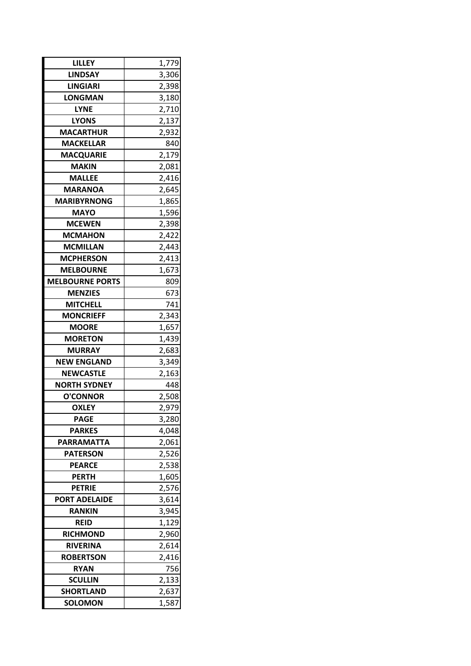| LILLEY                             | 1,779 |  |
|------------------------------------|-------|--|
| <b>LINDSAY</b>                     | 3,306 |  |
| <b>LINGIARI</b>                    | 2,398 |  |
| <b>LONGMAN</b>                     | 3,180 |  |
| <b>LYNE</b>                        | 2,710 |  |
| <b>LYONS</b>                       | 2,137 |  |
| <b>MACARTHUR</b>                   | 2,932 |  |
| <b>MACKELLAR</b>                   | 840   |  |
| <b>MACQUARIE</b>                   | 2,179 |  |
| <b>MAKIN</b>                       | 2,081 |  |
| <b>MALLEE</b>                      | 2,416 |  |
| <b>MARANOA</b>                     | 2,645 |  |
| <b>MARIBYRNONG</b>                 | 1,865 |  |
| <b>MAYO</b>                        | 1,596 |  |
| <b>MCEWEN</b>                      | 2,398 |  |
| <b>MCMAHON</b>                     | 2,422 |  |
| <b>MCMILLAN</b>                    | 2,443 |  |
| <b>MCPHERSON</b>                   | 2,413 |  |
| <b>MELBOURNE</b>                   | 1,673 |  |
| <b>MELBOURNE PORTS</b>             | 809   |  |
| <b>MENZIES</b>                     | 673   |  |
| <b>MITCHELL</b>                    | 741   |  |
| <b>MONCRIEFF</b>                   | 2,343 |  |
| <b>MOORE</b>                       | 1,657 |  |
| <b>MORETON</b>                     | 1,439 |  |
| <b>MURRAY</b>                      | 2,683 |  |
| <b>NEW ENGLAND</b>                 | 3,349 |  |
| NEWCASTLE                          | 2,163 |  |
| <b>NORTH SYDNEY</b>                | 448   |  |
| <b>O'CONNOR</b>                    | 2,508 |  |
| <b>OXLEY</b>                       | 2,979 |  |
| <b>PAGE</b>                        | 3,280 |  |
| <b>PARKES</b>                      | 4,048 |  |
| <b>PARRAMATTA</b>                  | 2,061 |  |
| <b>PATERSON</b>                    | 2,526 |  |
| <b>PEARCE</b>                      | 2,538 |  |
| <b>PERTH</b>                       | 1,605 |  |
| <b>PETRIE</b>                      | 2,576 |  |
| <b>PORT ADELAIDE</b>               | 3,614 |  |
| <b>RANKIN</b>                      | 3,945 |  |
| REID                               | 1,129 |  |
| <b>RICHMOND</b>                    | 2,960 |  |
| <b>RIVERINA</b>                    | 2,614 |  |
| <b>ROBERTSON</b>                   | 2,416 |  |
| <b>RYAN</b>                        | 756   |  |
| <b>SCULLIN</b>                     | 2,133 |  |
| <b>SHORTLAND</b><br><b>SOLOMON</b> | 2,637 |  |
|                                    | 1,587 |  |